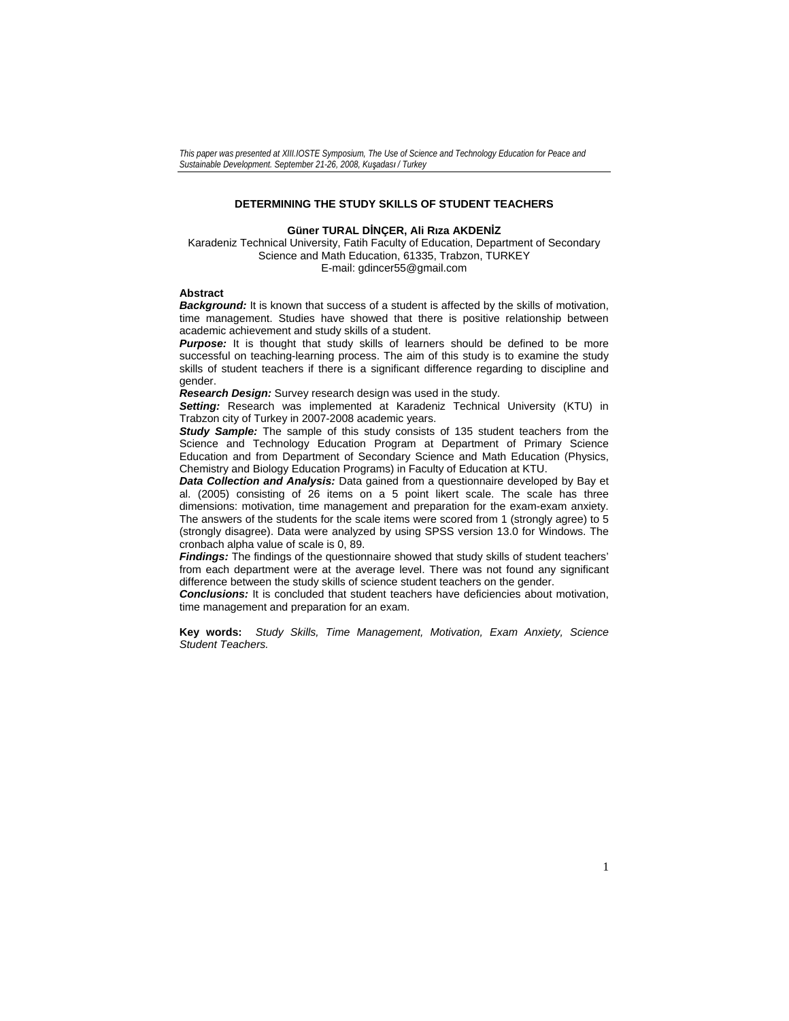# **DETERMINING THE STUDY SKILLS OF STUDENT TEACHERS**

# **Güner TURAL DİNÇER, Ali Rıza AKDENİZ**

Karadeniz Technical University, Fatih Faculty of Education, Department of Secondary Science and Math Education, 61335, Trabzon, TURKEY E-mail: gdincer55@gmail.com

# **Abstract**

*Background:* It is known that success of a student is affected by the skills of motivation, time management. Studies have showed that there is positive relationship between academic achievement and study skills of a student.

**Purpose:** It is thought that study skills of learners should be defined to be more successful on teaching-learning process. The aim of this study is to examine the study skills of student teachers if there is a significant difference regarding to discipline and gender.

*Research Design:* Survey research design was used in the study.

*Setting:* Research was implemented at Karadeniz Technical University (KTU) in Trabzon city of Turkey in 2007-2008 academic years.

*Study Sample:* The sample of this study consists of 135 student teachers from the Science and Technology Education Program at Department of Primary Science Education and from Department of Secondary Science and Math Education (Physics, Chemistry and Biology Education Programs) in Faculty of Education at KTU.

*Data Collection and Analysis:* Data gained from a questionnaire developed by Bay et al. (2005) consisting of 26 items on a 5 point likert scale. The scale has three dimensions: motivation, time management and preparation for the exam-exam anxiety. The answers of the students for the scale items were scored from 1 (strongly agree) to 5 (strongly disagree). Data were analyzed by using SPSS version 13.0 for Windows. The cronbach alpha value of scale is 0, 89.

*Findings:* The findings of the questionnaire showed that study skills of student teachers' from each department were at the average level. There was not found any significant difference between the study skills of science student teachers on the gender.

*Conclusions:* It is concluded that student teachers have deficiencies about motivation, time management and preparation for an exam.

**Key words:** *Study Skills, Time Management, Motivation, Exam Anxiety, Science Student Teachers.*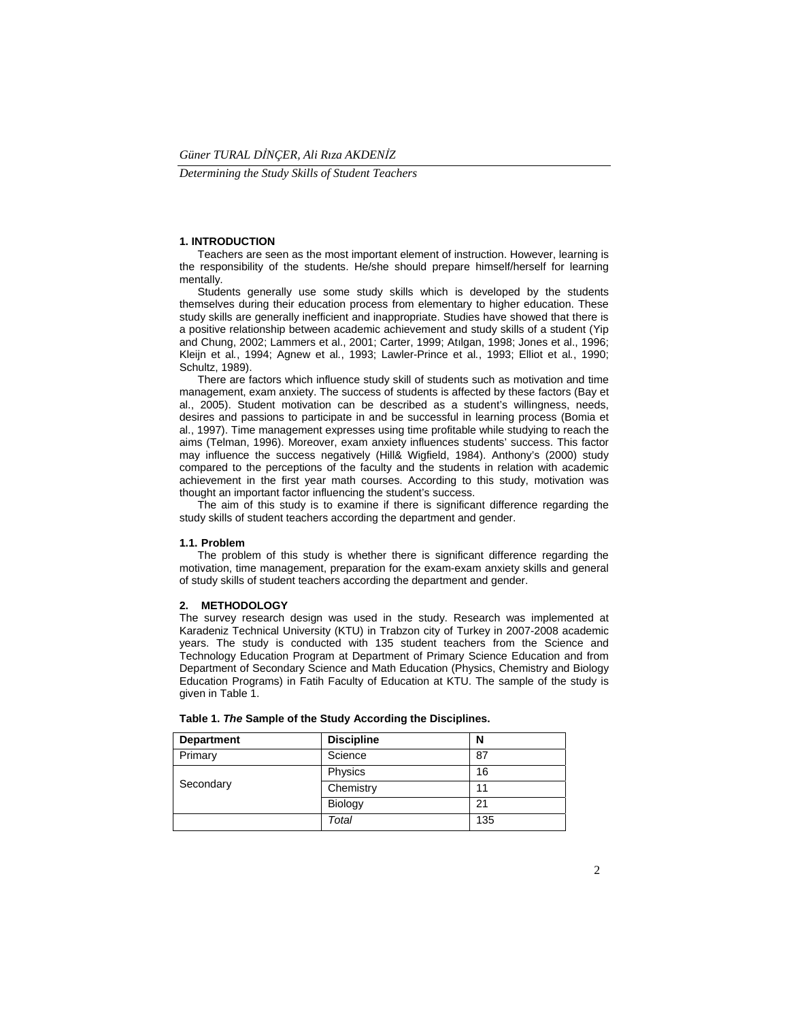*Determining the Study Skills of Student Teachers* 

### **1. INTRODUCTION**

 Teachers are seen as the most important element of instruction. However, learning is the responsibility of the students. He/she should prepare himself/herself for learning mentally.

 Students generally use some study skills which is developed by the students themselves during their education process from elementary to higher education. These study skills are generally inefficient and inappropriate. Studies have showed that there is a positive relationship between academic achievement and study skills of a student (Yip and Chung, 2002; Lammers et al., 2001; Carter, 1999; Atılgan, 1998; Jones et al., 1996; Kleijn et al*.*, 1994; Agnew et al*.*, 1993; Lawler-Prince et al*.*, 1993; Elliot et al*.*, 1990; Schultz, 1989).

 There are factors which influence study skill of students such as motivation and time management, exam anxiety. The success of students is affected by these factors (Bay et al., 2005). Student motivation can be described as a student's willingness, needs, desires and passions to participate in and be successful in learning process (Bomia et al., 1997). Time management expresses using time profitable while studying to reach the aims (Telman, 1996). Moreover, exam anxiety influences students' success. This factor may influence the success negatively (Hill& Wigfield, 1984). Anthony's (2000) study compared to the perceptions of the faculty and the students in relation with academic achievement in the first year math courses. According to this study, motivation was thought an important factor influencing the student's success.

 The aim of this study is to examine if there is significant difference regarding the study skills of student teachers according the department and gender.

#### **1.1. Problem**

 The problem of this study is whether there is significant difference regarding the motivation, time management, preparation for the exam-exam anxiety skills and general of study skills of student teachers according the department and gender.

#### **2. METHODOLOGY**

The survey research design was used in the study. Research was implemented at Karadeniz Technical University (KTU) in Trabzon city of Turkey in 2007-2008 academic years. The study is conducted with 135 student teachers from the Science and Technology Education Program at Department of Primary Science Education and from Department of Secondary Science and Math Education (Physics, Chemistry and Biology Education Programs) in Fatih Faculty of Education at KTU. The sample of the study is given in Table 1.

| <b>Department</b> | <b>Discipline</b> | N   |
|-------------------|-------------------|-----|
| Primary           | Science           | 87  |
| Secondary         | Physics           | 16  |
|                   | Chemistry         |     |
|                   | Biology           | 21  |
|                   | Total             | 135 |

**Table 1.** *The* **Sample of the Study According the Disciplines.**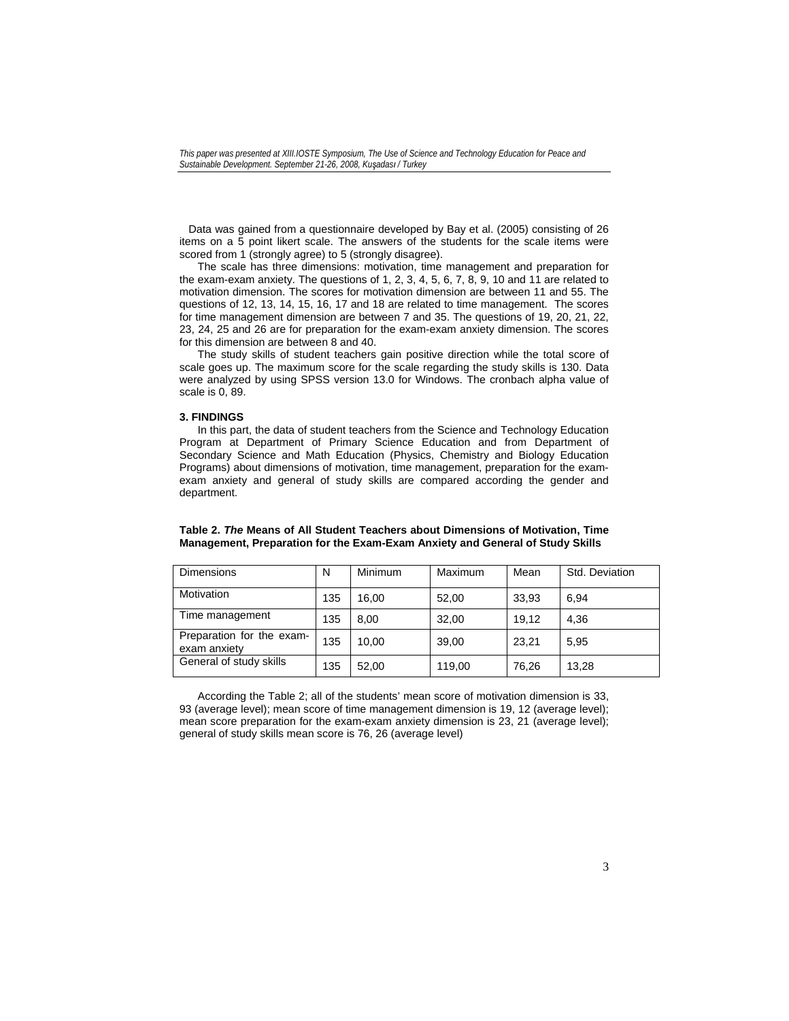Data was gained from a questionnaire developed by Bay et al. (2005) consisting of 26 items on a 5 point likert scale. The answers of the students for the scale items were scored from 1 (strongly agree) to 5 (strongly disagree).

 The scale has three dimensions: motivation, time management and preparation for the exam-exam anxiety. The questions of 1, 2, 3, 4, 5, 6, 7, 8, 9, 10 and 11 are related to motivation dimension. The scores for motivation dimension are between 11 and 55. The questions of 12, 13, 14, 15, 16, 17 and 18 are related to time management. The scores for time management dimension are between 7 and 35. The questions of 19, 20, 21, 22, 23, 24, 25 and 26 are for preparation for the exam-exam anxiety dimension. The scores for this dimension are between 8 and 40.

 The study skills of student teachers gain positive direction while the total score of scale goes up. The maximum score for the scale regarding the study skills is 130. Data were analyzed by using SPSS version 13.0 for Windows. The cronbach alpha value of scale is 0, 89.

#### **3. FINDINGS**

 In this part, the data of student teachers from the Science and Technology Education Program at Department of Primary Science Education and from Department of Secondary Science and Math Education (Physics, Chemistry and Biology Education Programs) about dimensions of motivation, time management, preparation for the examexam anxiety and general of study skills are compared according the gender and department.

| <b>Dimensions</b>                         | N   | Minimum | Maximum | Mean  | Std. Deviation |
|-------------------------------------------|-----|---------|---------|-------|----------------|
| <b>Motivation</b>                         | 135 | 16.00   | 52.00   | 33.93 | 6.94           |
| Time management                           | 135 | 8.00    | 32.00   | 19.12 | 4.36           |
| Preparation for the exam-<br>exam anxiety | 135 | 10.00   | 39.00   | 23.21 | 5.95           |
| General of study skills                   | 135 | 52,00   | 119,00  | 76,26 | 13,28          |

# **Table 2.** *The* **Means of All Student Teachers about Dimensions of Motivation, Time Management, Preparation for the Exam-Exam Anxiety and General of Study Skills**

 According the Table 2; all of the students' mean score of motivation dimension is 33, 93 (average level); mean score of time management dimension is 19, 12 (average level); mean score preparation for the exam-exam anxiety dimension is 23, 21 (average level); general of study skills mean score is 76, 26 (average level)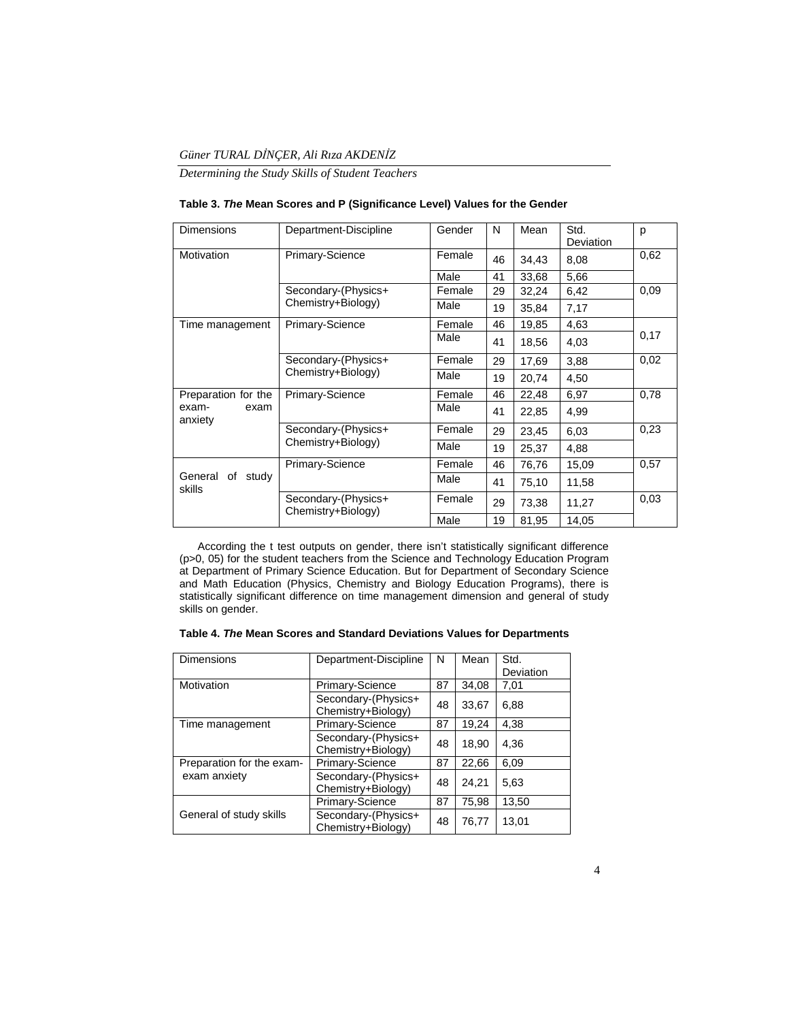# *Güner TURAL DİNÇER, Ali Rıza AKDENİZ*

*Determining the Study Skills of Student Teachers* 

| <b>Dimensions</b>             | Department-Discipline                     | Gender | N  | Mean  | Std.<br>Deviation | p    |
|-------------------------------|-------------------------------------------|--------|----|-------|-------------------|------|
| Motivation                    | Primary-Science                           | Female | 46 | 34,43 | 8,08              | 0,62 |
|                               |                                           | Male   | 41 | 33,68 | 5,66              |      |
|                               | Secondary-(Physics+                       | Female | 29 | 32,24 | 6,42              | 0.09 |
|                               | Chemistry+Biology)                        | Male   | 19 | 35,84 | 7,17              |      |
| Time management               | Primary-Science                           | Female | 46 | 19,85 | 4,63              |      |
|                               |                                           | Male   | 41 | 18,56 | 4,03              | 0,17 |
|                               | Secondary-(Physics+<br>Chemistry+Biology) | Female | 29 | 17,69 | 3,88              | 0,02 |
|                               |                                           | Male   | 19 | 20,74 | 4,50              |      |
| Preparation for the           | Primary-Science                           | Female | 46 | 22,48 | 6,97              | 0,78 |
| exam-<br>exam<br>anxiety      |                                           | Male   | 41 | 22,85 | 4,99              |      |
|                               | Secondary-(Physics+<br>Chemistry+Biology) | Female | 29 | 23,45 | 6,03              | 0,23 |
|                               |                                           | Male   | 19 | 25,37 | 4,88              |      |
| General of<br>study<br>skills | <b>Primary-Science</b>                    | Female | 46 | 76,76 | 15,09             | 0,57 |
|                               |                                           | Male   | 41 | 75,10 | 11,58             |      |
|                               | Secondary-(Physics+<br>Chemistry+Biology) | Female | 29 | 73,38 | 11,27             | 0,03 |
|                               |                                           | Male   | 19 | 81,95 | 14,05             |      |

 According the t test outputs on gender, there isn't statistically significant difference (p>0, 05) for the student teachers from the Science and Technology Education Program at Department of Primary Science Education. But for Department of Secondary Science and Math Education (Physics, Chemistry and Biology Education Programs), there is statistically significant difference on time management dimension and general of study skills on gender.

| <b>Dimensions</b>         | Department-Discipline                     | N  | Mean  | Std.      |
|---------------------------|-------------------------------------------|----|-------|-----------|
|                           |                                           |    |       | Deviation |
| Motivation                | Primary-Science                           | 87 | 34,08 | 7,01      |
|                           | Secondary-(Physics+<br>Chemistry+Biology) | 48 | 33,67 | 6.88      |
| Time management           | Primary-Science                           | 87 | 19,24 | 4,38      |
|                           | Secondary-(Physics+<br>Chemistry+Biology) | 48 | 18,90 | 4.36      |
| Preparation for the exam- | Primary-Science                           | 87 | 22,66 | 6.09      |
| exam anxiety              | Secondary-(Physics+<br>Chemistry+Biology) | 48 | 24,21 | 5.63      |
|                           | <b>Primary-Science</b>                    | 87 | 75,98 | 13,50     |
| General of study skills   | Secondary-(Physics+<br>Chemistry+Biology) | 48 | 76.77 | 13,01     |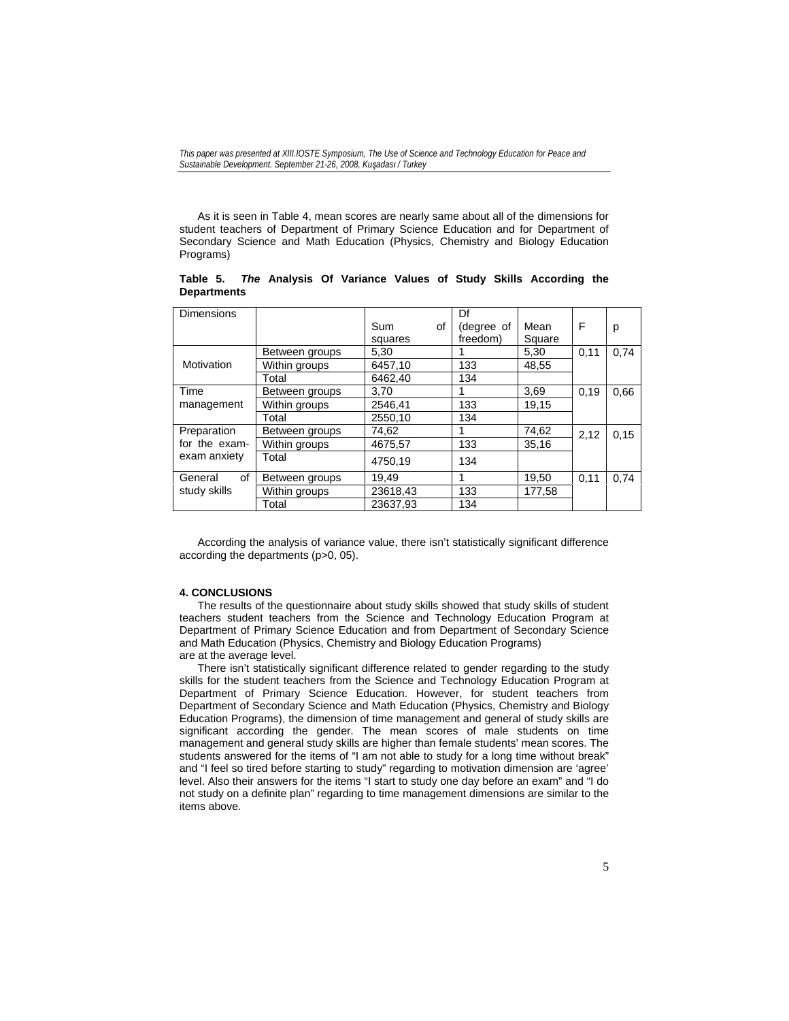As it is seen in Table 4, mean scores are nearly same about all of the dimensions for student teachers of Department of Primary Science Education and for Department of Secondary Science and Math Education (Physics, Chemistry and Biology Education Programs)

**Table 5.** *The* **Analysis Of Variance Values of Study Skills According the Departments** 

| <b>Dimensions</b>                            |                | Sum<br>of<br>squares | Df<br>(degree of<br>freedom) | Mean<br>Square | F    | р    |
|----------------------------------------------|----------------|----------------------|------------------------------|----------------|------|------|
|                                              | Between groups | 5,30                 |                              | 5,30           | 0.11 | 0.74 |
| Motivation                                   | Within groups  | 6457,10              | 133                          | 48.55          |      |      |
|                                              | Total          | 6462,40              | 134                          |                |      |      |
| Time<br>management                           | Between groups | 3.70                 |                              | 3,69           | 0.19 | 0.66 |
|                                              | Within groups  | 2546.41              | 133                          | 19,15          |      |      |
|                                              | Total          | 2550.10              | 134                          |                |      |      |
| Preparation<br>for the exam-<br>exam anxiety | Between groups | 74,62                |                              | 74,62          | 2,12 | 0,15 |
|                                              | Within groups  | 4675,57              | 133                          | 35,16          |      |      |
|                                              | Total          | 4750,19              | 134                          |                |      |      |
| of<br>General<br>study skills                | Between groups | 19,49                | 1                            | 19,50          | 0,11 | 0.74 |
|                                              | Within groups  | 23618,43             | 133                          | 177,58         |      |      |
|                                              | Total          | 23637.93             | 134                          |                |      |      |

 According the analysis of variance value, there isn't statistically significant difference according the departments (p>0, 05).

# **4. CONCLUSIONS**

 The results of the questionnaire about study skills showed that study skills of student teachers student teachers from the Science and Technology Education Program at Department of Primary Science Education and from Department of Secondary Science and Math Education (Physics, Chemistry and Biology Education Programs) are at the average level.

 There isn't statistically significant difference related to gender regarding to the study skills for the student teachers from the Science and Technology Education Program at Department of Primary Science Education. However, for student teachers from Department of Secondary Science and Math Education (Physics, Chemistry and Biology Education Programs), the dimension of time management and general of study skills are significant according the gender. The mean scores of male students on time management and general study skills are higher than female students' mean scores. The students answered for the items of "I am not able to study for a long time without break" and "I feel so tired before starting to study" regarding to motivation dimension are 'agree' level. Also their answers for the items "I start to study one day before an exam" and "I do not study on a definite plan" regarding to time management dimensions are similar to the items above.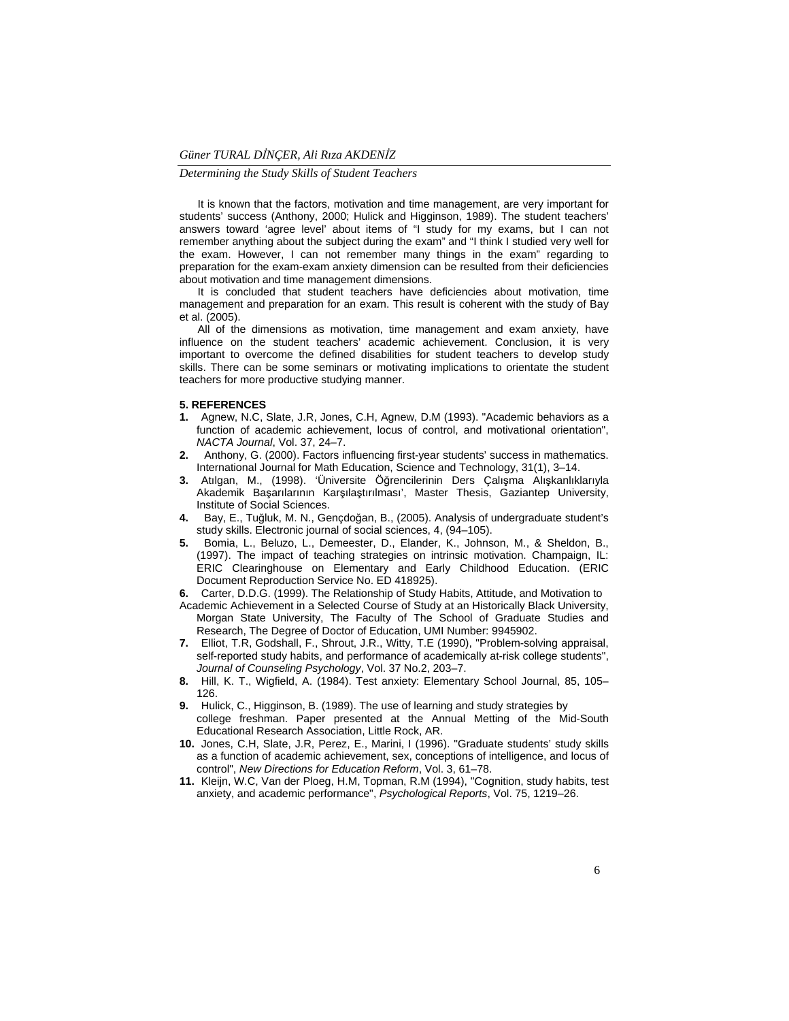*Determining the Study Skills of Student Teachers* 

 It is known that the factors, motivation and time management, are very important for students' success (Anthony, 2000; Hulick and Higginson, 1989). The student teachers' answers toward 'agree level' about items of "I study for my exams, but I can not remember anything about the subject during the exam" and "I think I studied very well for the exam. However, I can not remember many things in the exam" regarding to preparation for the exam-exam anxiety dimension can be resulted from their deficiencies about motivation and time management dimensions.

 It is concluded that student teachers have deficiencies about motivation, time management and preparation for an exam. This result is coherent with the study of Bay et al. (2005).

 All of the dimensions as motivation, time management and exam anxiety, have influence on the student teachers' academic achievement. Conclusion, it is very important to overcome the defined disabilities for student teachers to develop study skills. There can be some seminars or motivating implications to orientate the student teachers for more productive studying manner.

## **5. REFERENCES**

- **1.** Agnew, N.C, Slate, J.R, Jones, C.H, Agnew, D.M (1993). "Academic behaviors as a function of academic achievement, locus of control, and motivational orientation", *NACTA Journal*, Vol. 37, 24–7.
- **2.** Anthony, G. (2000). Factors influencing first-year students' success in mathematics. International Journal for Math Education, Science and Technology, 31(1), 3–14.
- **3.** Atılgan, M., (1998). 'Üniversite Öğrencilerinin Ders Çalışma Alışkanlıklarıyla Akademik Başarılarının Karşılaştırılması', Master Thesis, Gaziantep University, Institute of Social Sciences.
- **4.** Bay, E., Tuğluk, M. N., Gençdoğan, B., (2005). Analysis of undergraduate student's study skills. Electronic journal of social sciences, 4, (94–105).
- **5.** Bomia, L., Beluzo, L., Demeester, D., Elander, K., Johnson, M., & Sheldon, B., (1997). The impact of teaching strategies on intrinsic motivation. Champaign, IL: ERIC Clearinghouse on Elementary and Early Childhood Education. (ERIC Document Reproduction Service No. ED 418925).
- **6.** Carter, D.D.G. (1999). The Relationship of Study Habits, Attitude, and Motivation to
- Academic Achievement in a Selected Course of Study at an Historically Black University, Morgan State University, The Faculty of The School of Graduate Studies and Research, The Degree of Doctor of Education, UMI Number: 9945902.
- **7.** Elliot, T.R, Godshall, F., Shrout, J.R., Witty, T.E (1990), "Problem-solving appraisal, self-reported study habits, and performance of academically at-risk college students", *Journal of Counseling Psychology*, Vol. 37 No.2, 203–7.
- **8.** Hill, K. T., Wigfield, A. (1984). Test anxiety: Elementary School Journal, 85, 105– 126.
- **9.** Hulick, C., Higginson, B. (1989). The use of learning and study strategies by college freshman. Paper presented at the Annual Metting of the Mid-South Educational Research Association, Little Rock, AR.
- **10.** Jones, C.H, Slate, J.R, Perez, E., Marini, I (1996). "Graduate students' study skills as a function of academic achievement, sex, conceptions of intelligence, and locus of control", *New Directions for Education Reform*, Vol. 3, 61–78.
- **11.** Kleijn, W.C, Van der Ploeg, H.M, Topman, R.M (1994), "Cognition, study habits, test anxiety, and academic performance", *Psychological Reports*, Vol. 75, 1219–26.